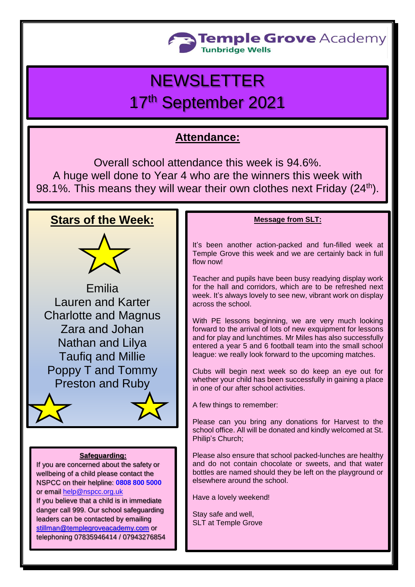

# **NEWSLETTER**

# 17th September 2021

# **Attendance:**

Overall school attendance this week is 94.6%. A huge well done to Year 4 who are the winners this week with 98.1%. This means they will wear their own clothes next Friday (24<sup>th</sup>).

## **Stars of the Week:**



Emilia Lauren and Karter Charlotte and Magnus Zara and Johan Nathan and Lilya Taufiq and Millie Poppy T and Tommy Preston and Ruby

#### **Safeguarding:**

If you are concerned about the safety or wellbeing of a child please contact the NSPCC on their helpline: **[0808 800 5000](tel:08088005000)** or email [help@nspcc.org.uk](mailto:help@nspcc.org.uk)

If you believe that a child is in immediate danger call 999. Our school safeguarding leaders can be contacted by emailing [stillman@templegroveacademy.com](mailto:stillman@templegroveacademy.com) or telephoning 07835946414 / 07943276854

#### **Message from SLT:**

It's been another action-packed and fun-filled week at Temple Grove this week and we are certainly back in full flow now!

Teacher and pupils have been busy readying display work for the hall and corridors, which are to be refreshed next week. It's always lovely to see new, vibrant work on display across the school.

With PE lessons beginning, we are very much looking forward to the arrival of lots of new exquipment for lessons and for play and lunchtimes. Mr Miles has also successfully entered a year 5 and 6 football team into the small school league: we really look forward to the upcoming matches.

Clubs will begin next week so do keep an eye out for whether your child has been successfully in gaining a place in one of our after school activities.

A few things to remember:

Please can you bring any donations for Harvest to the school office. All will be donated and kindly welcomed at St. Philip's Church;

Please also ensure that school packed-lunches are healthy and do not contain chocolate or sweets, and that water bottles are named should they be left on the playground or elsewhere around the school.

Have a lovely weekend!

Stay safe and well, SLT at Temple Grove